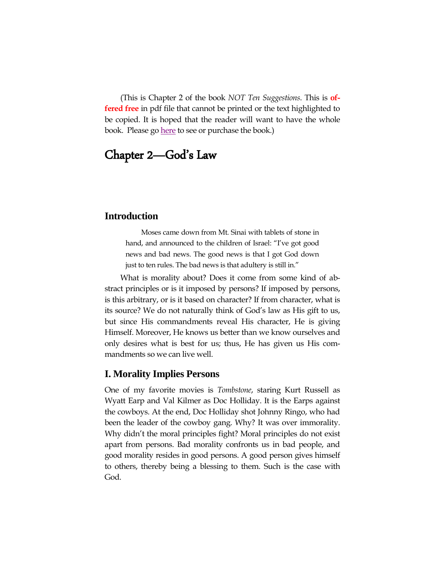(This is Chapter 2 of the book *NOT Ten Suggestions*. This is **offered free** in pdf file that cannot be printed or the text highlighted to be copied. It is hoped that the reader will want to have the whole book. Please go [here](http://footstool.recbfm.org/AdPages/NotTenSuggestions.htm) to see or purchase the book.)

# Chapter 2—God's Law

### **Introduction**

Moses came down from Mt. Sinai with tablets of stone in hand, and announced to the children of Israel: "I've got good news and bad news. The good news is that I got God down just to ten rules. The bad news is that adultery is still in."

What is morality about? Does it come from some kind of abstract principles or is it imposed by persons? If imposed by persons, is this arbitrary, or is it based on character? If from character, what is its source? We do not naturally think of God's law as His gift to us, but since His commandments reveal His character, He is giving Himself. Moreover, He knows us better than we know ourselves and only desires what is best for us; thus, He has given us His commandments so we can live well.

### **I. Morality Implies Persons**

One of my favorite movies is *Tombstone*, staring Kurt Russell as Wyatt Earp and Val Kilmer as Doc Holliday. It is the Earps against the cowboys. At the end, Doc Holliday shot Johnny Ringo, who had been the leader of the cowboy gang. Why? It was over immorality. Why didn"t the moral principles fight? Moral principles do not exist apart from persons. Bad morality confronts us in bad people, and good morality resides in good persons. A good person gives himself to others, thereby being a blessing to them. Such is the case with God.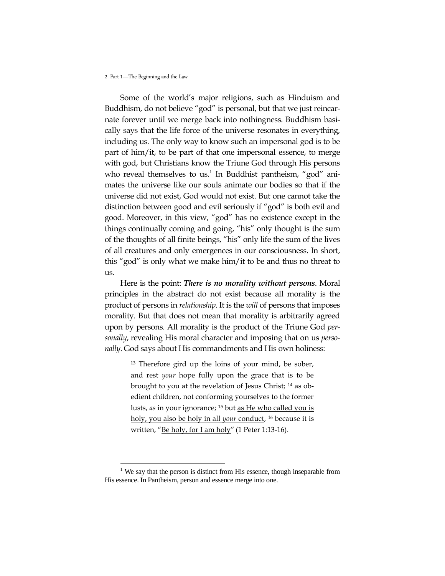$\overline{a}$ 

Some of the world"s major religions, such as Hinduism and Buddhism, do not believe "god" is personal, but that we just reincarnate forever until we merge back into nothingness. Buddhism basically says that the life force of the universe resonates in everything, including us. The only way to know such an impersonal god is to be part of him/it, to be part of that one impersonal essence, to merge with god, but Christians know the Triune God through His persons who reveal themselves to us.<sup>1</sup> In Buddhist pantheism, "god" animates the universe like our souls animate our bodies so that if the universe did not exist, God would not exist. But one cannot take the distinction between good and evil seriously if "god" is both evil and good. Moreover, in this view, "god" has no existence except in the things continually coming and going, "his" only thought is the sum of the thoughts of all finite beings, "his" only life the sum of the lives of all creatures and only emergences in our consciousness. In short, this "god" is only what we make him/it to be and thus no threat to us.

Here is the point: *There is no morality without persons*. Moral principles in the abstract do not exist because all morality is the product of persons in *relationship*. It is the *will* of persons that imposes morality. But that does not mean that morality is arbitrarily agreed upon by persons. All morality is the product of the Triune God *personally*, revealing His moral character and imposing that on us *personally*. God says about His commandments and His own holiness:

> <sup>13</sup> Therefore gird up the loins of your mind, be sober, and rest *your* hope fully upon the grace that is to be brought to you at the revelation of Jesus Christ; <sup>14</sup> as obedient children, not conforming yourselves to the former lusts, *as* in your ignorance; <sup>15</sup> but as He who called you is holy, you also be holy in all *your* conduct, <sup>16</sup> because it is written, "Be holy, for I am holy" (1 Peter 1:13-16).

 $1$  We say that the person is distinct from His essence, though inseparable from His essence. In Pantheism, person and essence merge into one.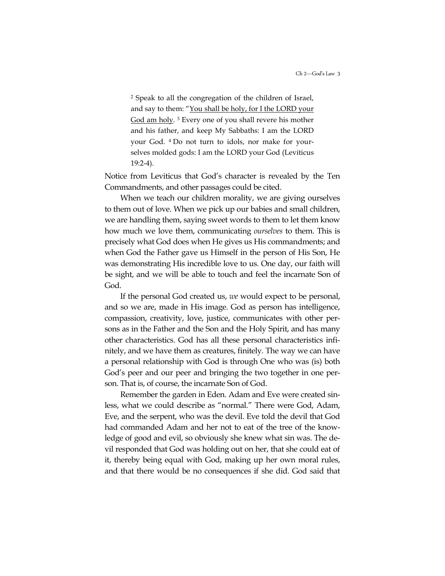<sup>2</sup> Speak to all the congregation of the children of Israel, and say to them: "You shall be holy, for I the LORD your God am holy.<sup>3</sup> Every one of you shall revere his mother and his father, and keep My Sabbaths: I am the LORD your God. <sup>4</sup> Do not turn to idols, nor make for yourselves molded gods: I am the LORD your God (Leviticus 19:2-4).

Notice from Leviticus that God"s character is revealed by the Ten Commandments, and other passages could be cited.

When we teach our children morality, we are giving ourselves to them out of love. When we pick up our babies and small children, we are handling them, saying sweet words to them to let them know how much we love them, communicating *ourselves* to them. This is precisely what God does when He gives us His commandments; and when God the Father gave us Himself in the person of His Son, He was demonstrating His incredible love to us. One day, our faith will be sight, and we will be able to touch and feel the incarnate Son of God.

If the personal God created us, *we* would expect to be personal, and so we are, made in His image. God as person has intelligence, compassion, creativity, love, justice, communicates with other persons as in the Father and the Son and the Holy Spirit, and has many other characteristics. God has all these personal characteristics infinitely, and we have them as creatures, finitely. The way we can have a personal relationship with God is through One who was (is) both God"s peer and our peer and bringing the two together in one person. That is, of course, the incarnate Son of God.

Remember the garden in Eden. Adam and Eve were created sinless, what we could describe as "normal." There were God, Adam, Eve, and the serpent, who was the devil. Eve told the devil that God had commanded Adam and her not to eat of the tree of the knowledge of good and evil, so obviously she knew what sin was. The devil responded that God was holding out on her, that she could eat of it, thereby being equal with God, making up her own moral rules, and that there would be no consequences if she did. God said that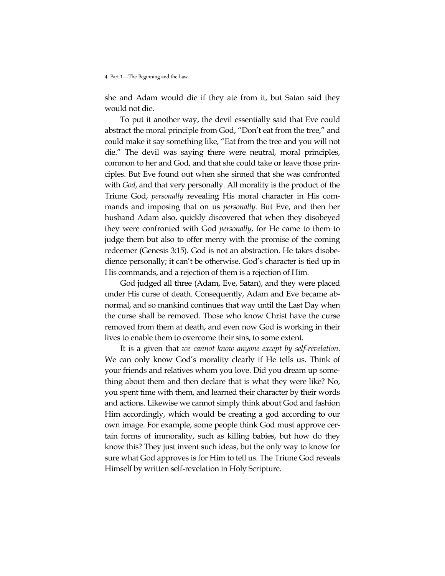she and Adam would die if they ate from it, but Satan said they would not die.

To put it another way, the devil essentially said that Eve could abstract the moral principle from God, "Don"t eat from the tree," and could make it say something like, "Eat from the tree and you will not die." The devil was saying there were neutral, moral principles, common to her and God, and that she could take or leave those principles. But Eve found out when she sinned that she was confronted with *God*, and that very personally. All morality is the product of the Triune God, *personally* revealing His moral character in His commands and imposing that on us *personally*. But Eve, and then her husband Adam also, quickly discovered that when they disobeyed they were confronted with God *personally*, for He came to them to judge them but also to offer mercy with the promise of the coming redeemer (Genesis 3:15). God is not an abstraction. He takes disobedience personally; it can't be otherwise. God's character is tied up in His commands, and a rejection of them is a rejection of Him.

God judged all three (Adam, Eve, Satan), and they were placed under His curse of death. Consequently, Adam and Eve became abnormal, and so mankind continues that way until the Last Day when the curse shall be removed. Those who know Christ have the curse removed from them at death, and even now God is working in their lives to enable them to overcome their sins, to some extent.

It is a given that *we cannot know anyone except by self-revelation*. We can only know God"s morality clearly if He tells us. Think of your friends and relatives whom you love. Did you dream up something about them and then declare that is what they were like? No, you spent time with them, and learned their character by their words and actions. Likewise we cannot simply think about God and fashion Him accordingly, which would be creating a god according to our own image. For example, some people think God must approve certain forms of immorality, such as killing babies, but how do they know this? They just invent such ideas, but the only way to know for sure what God approves is for Him to tell us. The Triune God reveals Himself by written self-revelation in Holy Scripture.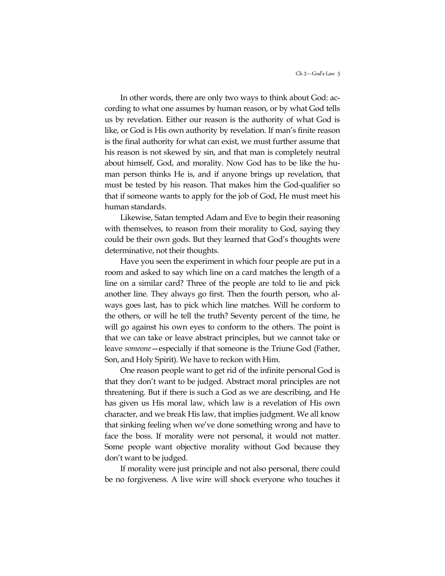In other words, there are only two ways to think about God: according to what one assumes by human reason, or by what God tells us by revelation. Either our reason is the authority of what God is like, or God is His own authority by revelation. If man's finite reason is the final authority for what can exist, we must further assume that his reason is not skewed by sin, and that man is completely neutral about himself, God, and morality. Now God has to be like the human person thinks He is, and if anyone brings up revelation, that must be tested by his reason. That makes him the God-qualifier so that if someone wants to apply for the job of God, He must meet his human standards.

Likewise, Satan tempted Adam and Eve to begin their reasoning with themselves, to reason from their morality to God, saying they could be their own gods. But they learned that God's thoughts were determinative, not their thoughts.

Have you seen the experiment in which four people are put in a room and asked to say which line on a card matches the length of a line on a similar card? Three of the people are told to lie and pick another line. They always go first. Then the fourth person, who always goes last, has to pick which line matches. Will he conform to the others, or will he tell the truth? Seventy percent of the time, he will go against his own eyes to conform to the others. The point is that we can take or leave abstract principles, but we cannot take or leave *someone*—especially if that someone is the Triune God (Father, Son, and Holy Spirit). We have to reckon with Him.

One reason people want to get rid of the infinite personal God is that they don"t want to be judged. Abstract moral principles are not threatening. But if there is such a God as we are describing, and He has given us His moral law, which law is a revelation of His own character, and we break His law, that implies judgment. We all know that sinking feeling when we"ve done something wrong and have to face the boss. If morality were not personal, it would not matter. Some people want objective morality without God because they don"t want to be judged.

If morality were just principle and not also personal, there could be no forgiveness. A live wire will shock everyone who touches it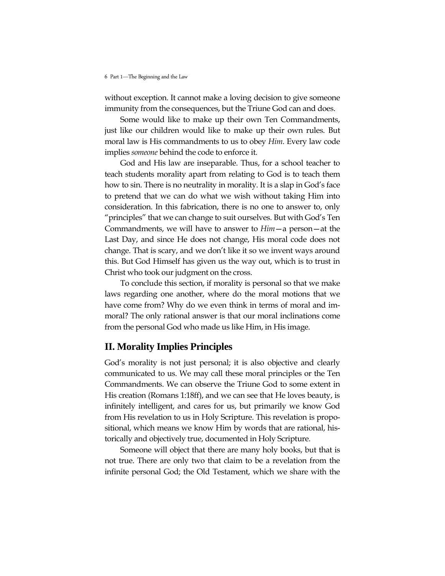without exception. It cannot make a loving decision to give someone immunity from the consequences, but the Triune God can and does.

Some would like to make up their own Ten Commandments, just like our children would like to make up their own rules. But moral law is His commandments to us to obey *Him*. Every law code implies *someone* behind the code to enforce it.

God and His law are inseparable. Thus, for a school teacher to teach students morality apart from relating to God is to teach them how to sin. There is no neutrality in morality. It is a slap in God's face to pretend that we can do what we wish without taking Him into consideration. In this fabrication, there is no one to answer to, only "principles" that we can change to suit ourselves. But with God's Ten Commandments, we will have to answer to *Him*—a person—at the Last Day, and since He does not change, His moral code does not change. That is scary, and we don't like it so we invent ways around this. But God Himself has given us the way out, which is to trust in Christ who took our judgment on the cross.

To conclude this section, if morality is personal so that we make laws regarding one another, where do the moral motions that we have come from? Why do we even think in terms of moral and immoral? The only rational answer is that our moral inclinations come from the personal God who made us like Him, in His image.

# **II. Morality Implies Principles**

God's morality is not just personal; it is also objective and clearly communicated to us. We may call these moral principles or the Ten Commandments. We can observe the Triune God to some extent in His creation (Romans 1:18ff), and we can see that He loves beauty, is infinitely intelligent, and cares for us, but primarily we know God from His revelation to us in Holy Scripture. This revelation is propositional, which means we know Him by words that are rational, historically and objectively true, documented in Holy Scripture.

Someone will object that there are many holy books, but that is not true. There are only two that claim to be a revelation from the infinite personal God; the Old Testament, which we share with the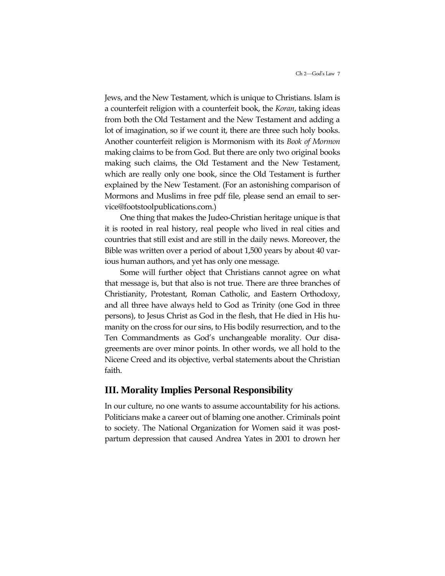Jews, and the New Testament, which is unique to Christians. Islam is a counterfeit religion with a counterfeit book, the *Koran*, taking ideas from both the Old Testament and the New Testament and adding a lot of imagination, so if we count it, there are three such holy books. Another counterfeit religion is Mormonism with its *Book of Mormon* making claims to be from God. But there are only two original books making such claims, the Old Testament and the New Testament, which are really only one book, since the Old Testament is further explained by the New Testament. (For an astonishing comparison of Mormons and Muslims in free pdf file, please send an email to service@footstoolpublications.com.)

One thing that makes the Judeo-Christian heritage unique is that it is rooted in real history, real people who lived in real cities and countries that still exist and are still in the daily news. Moreover, the Bible was written over a period of about 1,500 years by about 40 various human authors, and yet has only one message.

Some will further object that Christians cannot agree on what that message is, but that also is not true. There are three branches of Christianity, Protestant, Roman Catholic, and Eastern Orthodoxy, and all three have always held to God as Trinity (one God in three persons), to Jesus Christ as God in the flesh, that He died in His humanity on the cross for our sins, to His bodily resurrection, and to the Ten Commandments as God"s unchangeable morality. Our disagreements are over minor points. In other words, we all hold to the Nicene Creed and its objective, verbal statements about the Christian faith.

## **III. Morality Implies Personal Responsibility**

In our culture, no one wants to assume accountability for his actions. Politicians make a career out of blaming one another. Criminals point to society. The National Organization for Women said it was postpartum depression that caused Andrea Yates in 2001 to drown her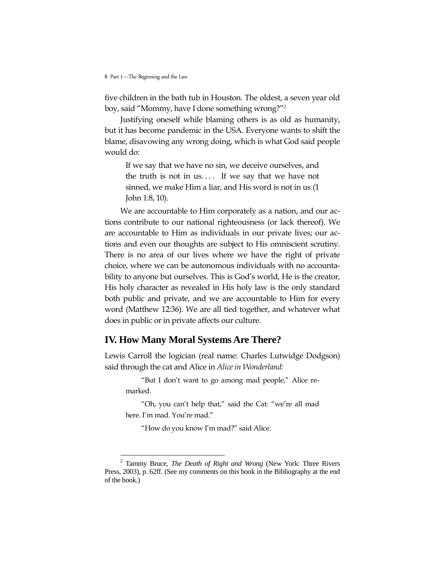five children in the bath tub in Houston. The oldest, a seven year old boy, said "Mommy, have I done something wrong?"<sup>2</sup>

Justifying oneself while blaming others is as old as humanity, but it has become pandemic in the USA. Everyone wants to shift the blame, disavowing any wrong doing, which is what God said people would do:

If we say that we have no sin, we deceive ourselves, and the truth is not in us.... If we say that we have not sinned, we make Him a liar, and His word is not in us (1 John 1:8, 10).

We are accountable to Him corporately as a nation, and our actions contribute to our national righteousness (or lack thereof). We are accountable to Him as individuals in our private lives; our actions and even our thoughts are subject to His omniscient scrutiny. There is no area of our lives where we have the right of private choice, where we can be autonomous individuals with no accountability to anyone but ourselves. This is God's world, He is the creator, His holy character as revealed in His holy law is the only standard both public and private, and we are accountable to Him for every word (Matthew 12:36). We are all tied together, and whatever what does in public or in private affects our culture.

# **IV. How Many Moral Systems Are There?**

Lewis Carroll the logician (real name: Charles Lutwidge Dodgson) said through the cat and Alice in *Alice in Wonderland*:

"But I don"t want to go among mad people," Alice remarked.

"Oh, you can"t help that," said the Cat: "we"re all mad here. I'm mad. You're mad."

"How do you know I"m mad?" said Alice.

 $\overline{a}$ 

<sup>2</sup> Tammy Bruce, *The Death of Right and Wrong* (New York: Three Rivers Press, 2003), p. 62ff. (See my comments on this book in the Bibliography at the end of the book.)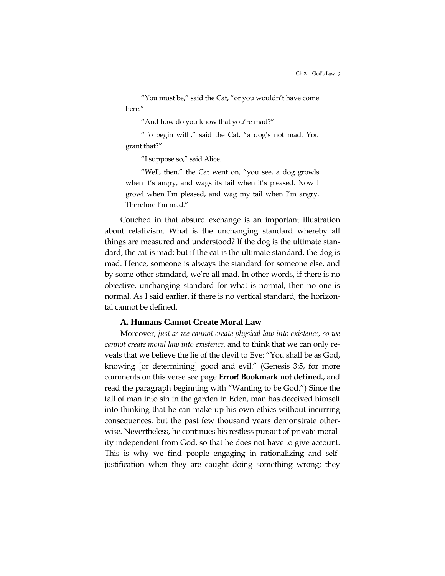"You must be," said the Cat, "or you wouldn"t have come here."

"And how do you know that you"re mad?"

"To begin with," said the Cat, "a dog"s not mad. You grant that?"

"I suppose so," said Alice.

"Well, then," the Cat went on, "you see, a dog growls when it's angry, and wags its tail when it's pleased. Now I growl when I"m pleased, and wag my tail when I"m angry. Therefore I"m mad."

Couched in that absurd exchange is an important illustration about relativism. What is the unchanging standard whereby all things are measured and understood? If the dog is the ultimate standard, the cat is mad; but if the cat is the ultimate standard, the dog is mad. Hence, someone is always the standard for someone else, and by some other standard, we"re all mad. In other words, if there is no objective, unchanging standard for what is normal, then no one is normal. As I said earlier, if there is no vertical standard, the horizontal cannot be defined.

#### **A. Humans Cannot Create Moral Law**

Moreover, *just as we cannot create physical law into existence, so we cannot create moral law into existence*, and to think that we can only reveals that we believe the lie of the devil to Eve: "You shall be as God, knowing [or determining] good and evil." (Genesis 3:5, for more comments on this verse see page **Error! Bookmark not defined.**, and read the paragraph beginning with "Wanting to be God.") Since the fall of man into sin in the garden in Eden, man has deceived himself into thinking that he can make up his own ethics without incurring consequences, but the past few thousand years demonstrate otherwise. Nevertheless, he continues his restless pursuit of private morality independent from God, so that he does not have to give account. This is why we find people engaging in rationalizing and selfjustification when they are caught doing something wrong; they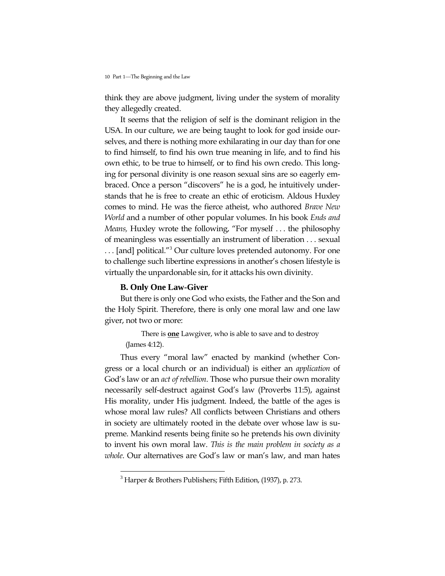think they are above judgment, living under the system of morality they allegedly created.

It seems that the religion of self is the dominant religion in the USA. In our culture, we are being taught to look for god inside ourselves, and there is nothing more exhilarating in our day than for one to find himself, to find his own true meaning in life, and to find his own ethic, to be true to himself, or to find his own credo. This longing for personal divinity is one reason sexual sins are so eagerly embraced. Once a person "discovers" he is a god, he intuitively understands that he is free to create an ethic of eroticism. Aldous Huxley comes to mind. He was the fierce atheist, who authored *Brave New World* and a number of other popular volumes. In his book *Ends and Means,* Huxley wrote the following, "For myself . . . the philosophy of meaningless was essentially an instrument of liberation . . . sexual ... [and] political."<sup>3</sup> Our culture loves pretended autonomy. For one to challenge such libertine expressions in another's chosen lifestyle is virtually the unpardonable sin, for it attacks his own divinity.

### **B. Only One Law-Giver**

 $\overline{a}$ 

But there is only one God who exists, the Father and the Son and the Holy Spirit. Therefore, there is only one moral law and one law giver, not two or more:

There is **one** Lawgiver, who is able to save and to destroy (James 4:12).

Thus every "moral law" enacted by mankind (whether Congress or a local church or an individual) is either an *application* of God"s law or an *act of rebellion*. Those who pursue their own morality necessarily self-destruct against God"s law (Proverbs 11:5), against His morality, under His judgment. Indeed, the battle of the ages is whose moral law rules? All conflicts between Christians and others in society are ultimately rooted in the debate over whose law is supreme. Mankind resents being finite so he pretends his own divinity to invent his own moral law. *This is the main problem in society as a whole*. Our alternatives are God"s law or man"s law, and man hates

 $3$  Harper & Brothers Publishers; Fifth Edition, (1937), p. 273.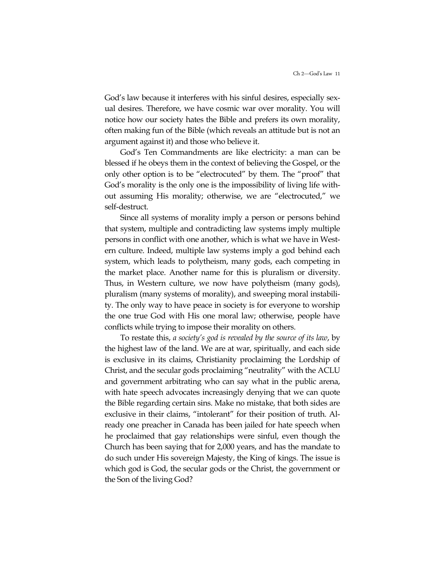God"s law because it interferes with his sinful desires, especially sexual desires. Therefore, we have cosmic war over morality. You will notice how our society hates the Bible and prefers its own morality, often making fun of the Bible (which reveals an attitude but is not an argument against it) and those who believe it.

God"s Ten Commandments are like electricity: a man can be blessed if he obeys them in the context of believing the Gospel, or the only other option is to be "electrocuted" by them. The "proof" that God"s morality is the only one is the impossibility of living life without assuming His morality; otherwise, we are "electrocuted," we self-destruct.

Since all systems of morality imply a person or persons behind that system, multiple and contradicting law systems imply multiple persons in conflict with one another, which is what we have in Western culture. Indeed, multiple law systems imply a god behind each system, which leads to polytheism, many gods, each competing in the market place. Another name for this is pluralism or diversity. Thus, in Western culture, we now have polytheism (many gods), pluralism (many systems of morality), and sweeping moral instability. The only way to have peace in society is for everyone to worship the one true God with His one moral law; otherwise, people have conflicts while trying to impose their morality on others.

To restate this, *a society's god is revealed by the source of its law*, by the highest law of the land. We are at war, spiritually, and each side is exclusive in its claims, Christianity proclaiming the Lordship of Christ, and the secular gods proclaiming "neutrality" with the ACLU and government arbitrating who can say what in the public arena, with hate speech advocates increasingly denying that we can quote the Bible regarding certain sins. Make no mistake, that both sides are exclusive in their claims, "intolerant" for their position of truth. Already one preacher in Canada has been jailed for hate speech when he proclaimed that gay relationships were sinful, even though the Church has been saying that for 2,000 years, and has the mandate to do such under His sovereign Majesty, the King of kings. The issue is which god is God, the secular gods or the Christ, the government or the Son of the living God?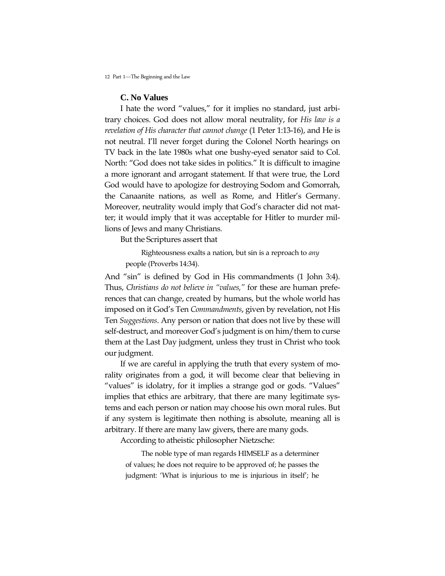### **C. No Values**

I hate the word "values," for it implies no standard, just arbitrary choices. God does not allow moral neutrality, for *His law is a revelation of His character that cannot change* (1 Peter 1:13-16), and He is not neutral. I"ll never forget during the Colonel North hearings on TV back in the late 1980s what one bushy-eyed senator said to Col. North: "God does not take sides in politics." It is difficult to imagine a more ignorant and arrogant statement. If that were true, the Lord God would have to apologize for destroying Sodom and Gomorrah, the Canaanite nations, as well as Rome, and Hitler"s Germany. Moreover, neutrality would imply that God's character did not matter; it would imply that it was acceptable for Hitler to murder millions of Jews and many Christians.

But the Scriptures assert that

Righteousness exalts a nation, but sin is a reproach to *any*  people (Proverbs 14:34).

And "sin" is defined by God in His commandments (1 John 3:4). Thus, *Christians do not believe in "values,"* for these are human preferences that can change, created by humans, but the whole world has imposed on it God"s Ten *Commandments*, given by revelation, not His Ten *Suggestions*. Any person or nation that does not live by these will self-destruct, and moreover God's judgment is on him/them to curse them at the Last Day judgment, unless they trust in Christ who took our judgment.

If we are careful in applying the truth that every system of morality originates from a god, it will become clear that believing in "values" is idolatry, for it implies a strange god or gods. "Values" implies that ethics are arbitrary, that there are many legitimate systems and each person or nation may choose his own moral rules. But if any system is legitimate then nothing is absolute, meaning all is arbitrary. If there are many law givers, there are many gods.

According to atheistic philosopher Nietzsche:

The noble type of man regards HIMSELF as a determiner of values; he does not require to be approved of; he passes the judgment: "What is injurious to me is injurious in itself"; he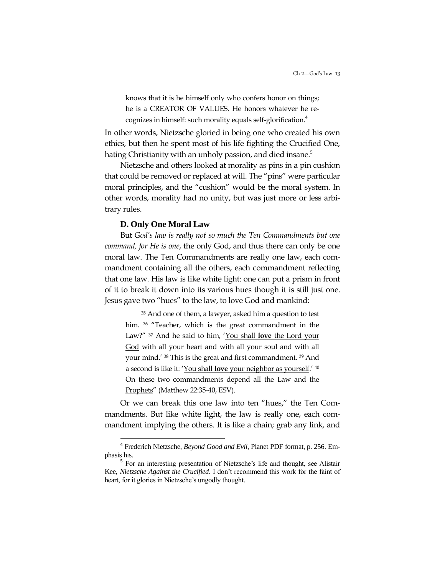knows that it is he himself only who confers honor on things; he is a CREATOR OF VALUES. He honors whatever he recognizes in himself: such morality equals self-glorification.<sup>4</sup>

In other words, Nietzsche gloried in being one who created his own ethics, but then he spent most of his life fighting the Crucified One, hating Christianity with an unholy passion, and died insane.<sup>5</sup>

Nietzsche and others looked at morality as pins in a pin cushion that could be removed or replaced at will. The "pins" were particular moral principles, and the "cushion" would be the moral system. In other words, morality had no unity, but was just more or less arbitrary rules.

#### **D. Only One Moral Law**

But *God's law is really not so much the Ten Commandments but one command, for He is one*, the only God, and thus there can only be one moral law. The Ten Commandments are really one law, each commandment containing all the others, each commandment reflecting that one law. His law is like white light: one can put a prism in front of it to break it down into its various hues though it is still just one. Jesus gave two "hues" to the law, to love God and mankind:

<sup>35</sup> And one of them, a lawyer, asked him a question to test him. <sup>36</sup> "Teacher, which is the great commandment in the Law?" <sup>37</sup> And he said to him, "You shall **love** the Lord your God with all your heart and with all your soul and with all your mind." <sup>38</sup> This is the great and first commandment. <sup>39</sup> And a second is like it: "You shall **love** your neighbor as yourself." <sup>40</sup> On these two commandments depend all the Law and the Prophets" (Matthew 22:35-40, ESV).

Or we can break this one law into ten "hues," the Ten Commandments. But like white light, the law is really one, each commandment implying the others. It is like a chain; grab any link, and

 4 Frederich Nietzsche, *Beyond Good and Evil*, Planet PDF format, p. 256. Emphasis his.

<sup>&</sup>lt;sup>5</sup> For an interesting presentation of Nietzsche's life and thought, see Alistair Kee, *Nietzsche Against the Crucified*. I don't recommend this work for the faint of heart, for it glories in Nietzsche's ungodly thought.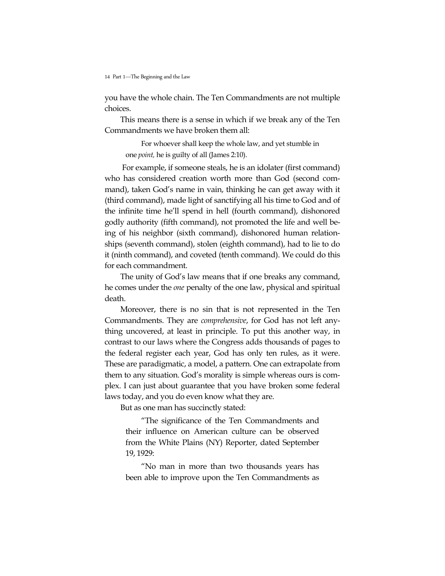you have the whole chain. The Ten Commandments are not multiple choices.

This means there is a sense in which if we break any of the Ten Commandments we have broken them all:

For whoever shall keep the whole law, and yet stumble in one *point,* he is guilty of all (James 2:10).

For example, if someone steals, he is an idolater (first command) who has considered creation worth more than God (second command), taken God's name in vain, thinking he can get away with it (third command), made light of sanctifying all his time to God and of the infinite time he"ll spend in hell (fourth command), dishonored godly authority (fifth command), not promoted the life and well being of his neighbor (sixth command), dishonored human relationships (seventh command), stolen (eighth command), had to lie to do it (ninth command), and coveted (tenth command). We could do this for each commandment.

The unity of God's law means that if one breaks any command, he comes under the *one* penalty of the one law, physical and spiritual death.

Moreover, there is no sin that is not represented in the Ten Commandments. They are *comprehensive*, for God has not left anything uncovered, at least in principle. To put this another way, in contrast to our laws where the Congress adds thousands of pages to the federal register each year, God has only ten rules, as it were. These are paradigmatic, a model, a pattern. One can extrapolate from them to any situation. God"s morality is simple whereas ours is complex. I can just about guarantee that you have broken some federal laws today, and you do even know what they are.

But as one man has succinctly stated:

"The significance of the Ten Commandments and their influence on American culture can be observed from the White Plains (NY) Reporter, dated September 19, 1929:

"No man in more than two thousands years has been able to improve upon the Ten Commandments as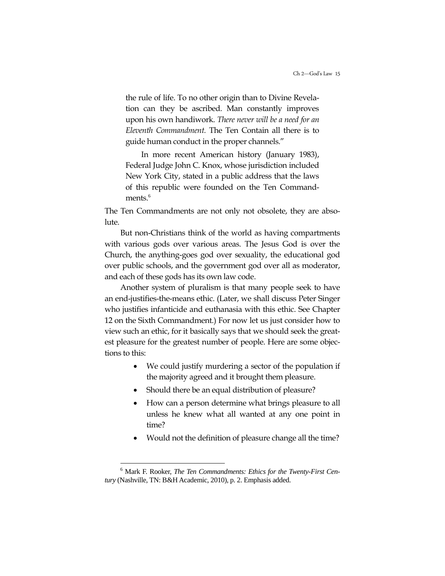the rule of life. To no other origin than to Divine Revelation can they be ascribed. Man constantly improves upon his own handiwork. *There never will be a need for an Eleventh Commandment.* The Ten Contain all there is to guide human conduct in the proper channels."

In more recent American history (January 1983), Federal Judge John C. Knox, whose jurisdiction included New York City, stated in a public address that the laws of this republic were founded on the Ten Commandments.<sup>6</sup>

The Ten Commandments are not only not obsolete, they are absolute.

But non-Christians think of the world as having compartments with various gods over various areas. The Jesus God is over the Church, the anything-goes god over sexuality, the educational god over public schools, and the government god over all as moderator, and each of these gods has its own law code.

Another system of pluralism is that many people seek to have an end-justifies-the-means ethic. (Later, we shall discuss Peter Singer who justifies infanticide and euthanasia with this ethic. See Chapter 12 on the Sixth Commandment.) For now let us just consider how to view such an ethic, for it basically says that we should seek the greatest pleasure for the greatest number of people. Here are some objections to this:

- We could justify murdering a sector of the population if the majority agreed and it brought them pleasure.
- Should there be an equal distribution of pleasure?
- How can a person determine what brings pleasure to all unless he knew what all wanted at any one point in time?
- Would not the definition of pleasure change all the time?

 $\ddot{\phantom{a}}$ 

<sup>6</sup> Mark F. Rooker, *The Ten Commandments: Ethics for the Twenty-First Century* (Nashville, TN: B&H Academic, 2010), p. 2. Emphasis added.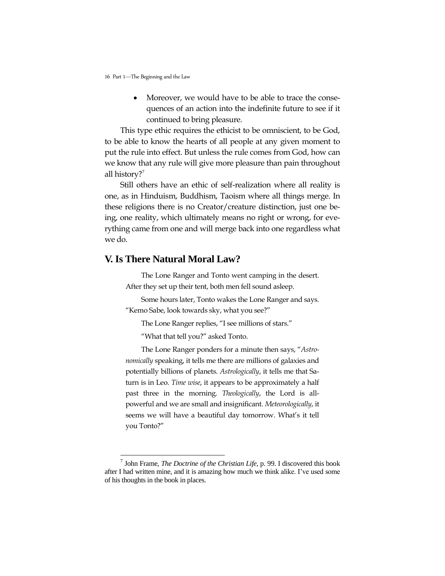Moreover, we would have to be able to trace the consequences of an action into the indefinite future to see if it continued to bring pleasure.

This type ethic requires the ethicist to be omniscient, to be God, to be able to know the hearts of all people at any given moment to put the rule into effect. But unless the rule comes from God, how can we know that any rule will give more pleasure than pain throughout all history?<sup>7</sup>

Still others have an ethic of self-realization where all reality is one, as in Hinduism, Buddhism, Taoism where all things merge. In these religions there is no Creator/creature distinction, just one being, one reality, which ultimately means no right or wrong, for everything came from one and will merge back into one regardless what we do.

### **V. Is There Natural Moral Law?**

 $\overline{a}$ 

The Lone Ranger and Tonto went camping in the desert. After they set up their tent, both men fell sound asleep.

Some hours later, Tonto wakes the Lone Ranger and says. "Kemo Sabe, look towards sky, what you see?"

The Lone Ranger replies, "I see millions of stars."

"What that tell you?" asked Tonto.

The Lone Ranger ponders for a minute then says, "*Astronomically* speaking, it tells me there are millions of galaxies and potentially billions of planets. *Astrologically*, it tells me that Saturn is in Leo. *Time wise*, it appears to be approximately a half past three in the morning. *Theologically*, the Lord is allpowerful and we are small and insignificant. *Meteorologically*, it seems we will have a beautiful day tomorrow. What's it tell you Tonto?"

<sup>7</sup> John Frame, *The Doctrine of the Christian Life*, p. 99. I discovered this book after I had written mine, and it is amazing how much we think alike. I've used some of his thoughts in the book in places.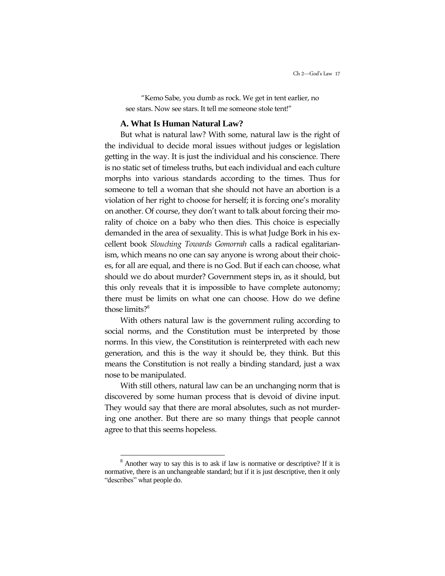"Kemo Sabe, you dumb as rock. We get in tent earlier, no see stars. Now see stars. It tell me someone stole tent!"

#### **A. What Is Human Natural Law?**

But what is natural law? With some, natural law is the right of the individual to decide moral issues without judges or legislation getting in the way. It is just the individual and his conscience. There is no static set of timeless truths, but each individual and each culture morphs into various standards according to the times. Thus for someone to tell a woman that she should not have an abortion is a violation of her right to choose for herself; it is forcing one"s morality on another. Of course, they don"t want to talk about forcing their morality of choice on a baby who then dies. This choice is especially demanded in the area of sexuality. This is what Judge Bork in his excellent book *Slouching Towards Gomorrah* calls a radical egalitarianism, which means no one can say anyone is wrong about their choices, for all are equal, and there is no God. But if each can choose, what should we do about murder? Government steps in, as it should, but this only reveals that it is impossible to have complete autonomy; there must be limits on what one can choose. How do we define those limits?<sup>8</sup>

With others natural law is the government ruling according to social norms, and the Constitution must be interpreted by those norms. In this view, the Constitution is reinterpreted with each new generation, and this is the way it should be, they think. But this means the Constitution is not really a binding standard, just a wax nose to be manipulated.

With still others, natural law can be an unchanging norm that is discovered by some human process that is devoid of divine input. They would say that there are moral absolutes, such as not murdering one another. But there are so many things that people cannot agree to that this seems hopeless.

 $\overline{a}$ 

<sup>8</sup> Another way to say this is to ask if law is normative or descriptive? If it is normative, there is an unchangeable standard; but if it is just descriptive, then it only "describes" what people do.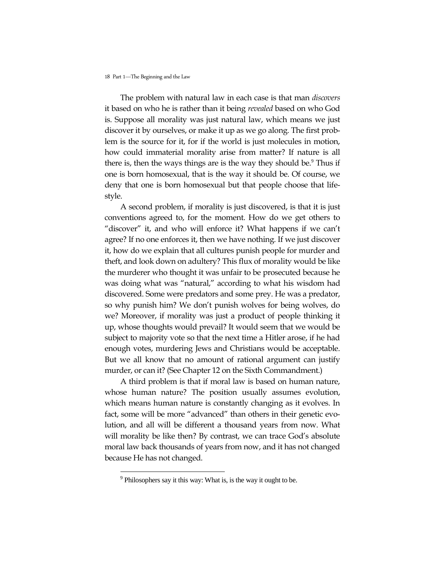The problem with natural law in each case is that man *discovers* it based on who he is rather than it being *revealed* based on who God is. Suppose all morality was just natural law, which means we just discover it by ourselves, or make it up as we go along. The first problem is the source for it, for if the world is just molecules in motion, how could immaterial morality arise from matter? If nature is all there is, then the ways things are is the way they should be.<sup>9</sup> Thus if one is born homosexual, that is the way it should be. Of course, we deny that one is born homosexual but that people choose that lifestyle.

A second problem, if morality is just discovered, is that it is just conventions agreed to, for the moment. How do we get others to "discover" it, and who will enforce it? What happens if we can"t agree? If no one enforces it, then we have nothing. If we just discover it, how do we explain that all cultures punish people for murder and theft, and look down on adultery? This flux of morality would be like the murderer who thought it was unfair to be prosecuted because he was doing what was "natural," according to what his wisdom had discovered. Some were predators and some prey. He was a predator, so why punish him? We don"t punish wolves for being wolves, do we? Moreover, if morality was just a product of people thinking it up, whose thoughts would prevail? It would seem that we would be subject to majority vote so that the next time a Hitler arose, if he had enough votes, murdering Jews and Christians would be acceptable. But we all know that no amount of rational argument can justify murder, or can it? (See Chapter 12 on the Sixth Commandment.)

A third problem is that if moral law is based on human nature, whose human nature? The position usually assumes evolution, which means human nature is constantly changing as it evolves. In fact, some will be more "advanced" than others in their genetic evolution, and all will be different a thousand years from now. What will morality be like then? By contrast, we can trace God's absolute moral law back thousands of years from now, and it has not changed because He has not changed.

 $\overline{a}$ 

 $9^9$  Philosophers say it this way: What is, is the way it ought to be.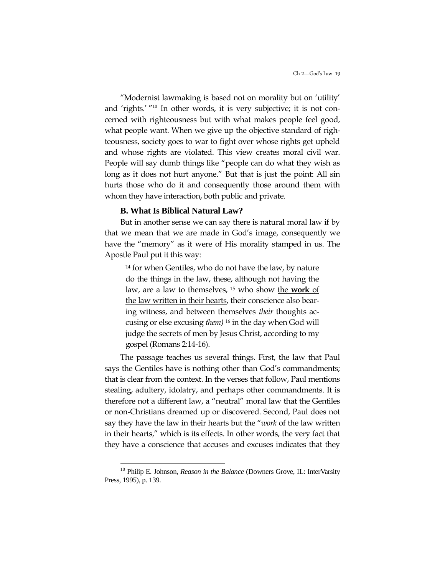"Modernist lawmaking is based not on morality but on "utility" and 'rights.' "<sup>10</sup> In other words, it is very subjective; it is not concerned with righteousness but with what makes people feel good, what people want. When we give up the objective standard of righteousness, society goes to war to fight over whose rights get upheld and whose rights are violated. This view creates moral civil war. People will say dumb things like "people can do what they wish as long as it does not hurt anyone." But that is just the point: All sin hurts those who do it and consequently those around them with whom they have interaction, both public and private.

#### **B. What Is Biblical Natural Law?**

But in another sense we can say there is natural moral law if by that we mean that we are made in God's image, consequently we have the "memory" as it were of His morality stamped in us. The Apostle Paul put it this way:

<sup>14</sup> for when Gentiles, who do not have the law, by nature do the things in the law, these, although not having the law, are a law to themselves, <sup>15</sup> who show the **work** of the law written in their hearts, their conscience also bearing witness, and between themselves *their* thoughts accusing or else excusing *them)* <sup>16</sup> in the day when God will judge the secrets of men by Jesus Christ, according to my gospel (Romans 2:14-16).

The passage teaches us several things. First, the law that Paul says the Gentiles have is nothing other than God's commandments; that is clear from the context. In the verses that follow, Paul mentions stealing, adultery, idolatry, and perhaps other commandments. It is therefore not a different law, a "neutral" moral law that the Gentiles or non-Christians dreamed up or discovered. Second, Paul does not say they have the law in their hearts but the "*work* of the law written in their hearts," which is its effects. In other words, the very fact that they have a conscience that accuses and excuses indicates that they

 $\ddot{\phantom{a}}$ 

<sup>&</sup>lt;sup>10</sup> Philip E. Johnson, *Reason in the Balance* (Downers Grove, IL: InterVarsity Press, 1995), p. 139.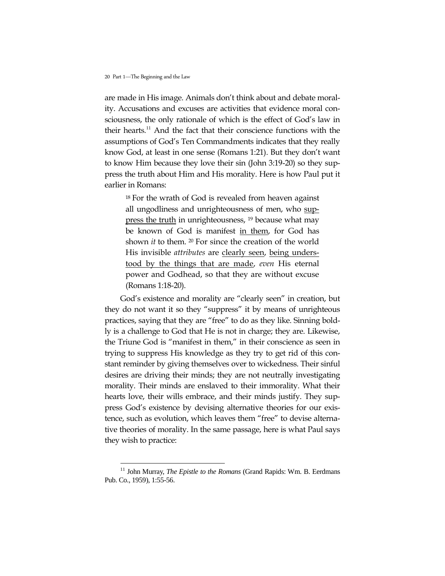$\ddot{\phantom{a}}$ 

are made in His image. Animals don"t think about and debate morality. Accusations and excuses are activities that evidence moral consciousness, the only rationale of which is the effect of God"s law in their hearts.<sup>11</sup> And the fact that their conscience functions with the assumptions of God"s Ten Commandments indicates that they really know God, at least in one sense (Romans 1:21). But they don"t want to know Him because they love their sin (John 3:19-20) so they suppress the truth about Him and His morality. Here is how Paul put it earlier in Romans:

<sup>18</sup> For the wrath of God is revealed from heaven against all ungodliness and unrighteousness of men, who suppress the truth in unrighteousness, <sup>19</sup> because what may be known of God is manifest in them, for God has shown *it* to them. <sup>20</sup> For since the creation of the world His invisible *attributes* are clearly seen, being understood by the things that are made, *even* His eternal power and Godhead, so that they are without excuse (Romans 1:18-20).

God's existence and morality are "clearly seen" in creation, but they do not want it so they "suppress" it by means of unrighteous practices, saying that they are "free" to do as they like. Sinning boldly is a challenge to God that He is not in charge; they are. Likewise, the Triune God is "manifest in them," in their conscience as seen in trying to suppress His knowledge as they try to get rid of this constant reminder by giving themselves over to wickedness. Their sinful desires are driving their minds; they are not neutrally investigating morality. Their minds are enslaved to their immorality. What their hearts love, their wills embrace, and their minds justify. They suppress God"s existence by devising alternative theories for our existence, such as evolution, which leaves them "free" to devise alternative theories of morality. In the same passage, here is what Paul says they wish to practice:

<sup>&</sup>lt;sup>11</sup> John Murray, *The Epistle to the Romans* (Grand Rapids: Wm. B. Eerdmans Pub. Co., 1959), 1:55-56.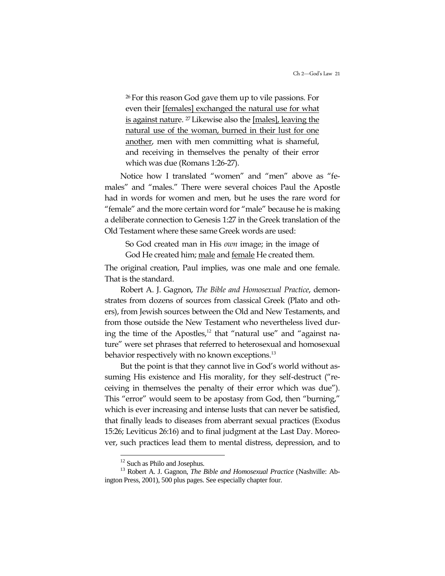<sup>26</sup>For this reason God gave them up to vile passions. For even their [females] exchanged the natural use for what is against nature. <sup>27</sup> Likewise also the [males], leaving the natural use of the woman, burned in their lust for one another, men with men committing what is shameful, and receiving in themselves the penalty of their error which was due (Romans 1:26-27).

Notice how I translated "women" and "men" above as "females" and "males." There were several choices Paul the Apostle had in words for women and men, but he uses the rare word for "female" and the more certain word for "male" because he is making a deliberate connection to Genesis 1:27 in the Greek translation of the Old Testament where these same Greek words are used:

So God created man in His *own* image; in the image of God He created him; male and female He created them.

The original creation, Paul implies, was one male and one female. That is the standard.

Robert A. J. Gagnon, *The Bible and Homosexual Practice*, demonstrates from dozens of sources from classical Greek (Plato and others), from Jewish sources between the Old and New Testaments, and from those outside the New Testament who nevertheless lived during the time of the Apostles, $12$  that "natural use" and "against nature" were set phrases that referred to heterosexual and homosexual behavior respectively with no known exceptions.<sup>13</sup>

But the point is that they cannot live in God's world without assuming His existence and His morality, for they self-destruct ("receiving in themselves the penalty of their error which was due"). This "error" would seem to be apostasy from God, then "burning," which is ever increasing and intense lusts that can never be satisfied, that finally leads to diseases from aberrant sexual practices (Exodus 15:26; Leviticus 26:16) and to final judgment at the Last Day. Moreover, such practices lead them to mental distress, depression, and to

 $\overline{a}$ 

 $12$  Such as Philo and Josephus.

<sup>13</sup> Robert A. J. Gagnon, *The Bible and Homosexual Practice* (Nashville: Abington Press, 2001), 500 plus pages. See especially chapter four.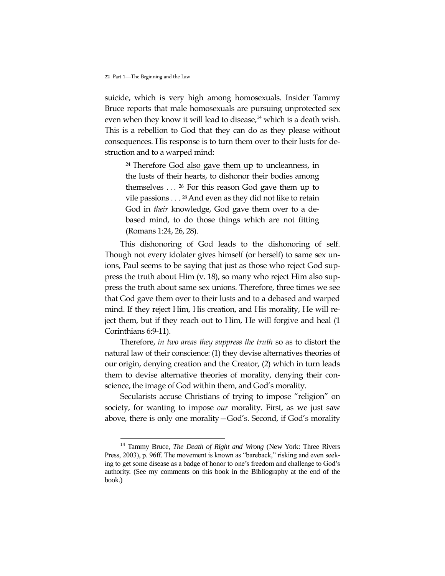$\ddot{\phantom{a}}$ 

suicide, which is very high among homosexuals. Insider Tammy Bruce reports that male homosexuals are pursuing unprotected sex even when they know it will lead to disease, $14$  which is a death wish. This is a rebellion to God that they can do as they please without consequences. His response is to turn them over to their lusts for destruction and to a warped mind:

<sup>24</sup>Therefore God also gave them up to uncleanness, in the lusts of their hearts, to dishonor their bodies among themselves  $\dots$  <sup>26</sup> For this reason God gave them up to vile passions  $\dots$  <sup>28</sup> And even as they did not like to retain God in *their* knowledge, God gave them over to a debased mind, to do those things which are not fitting (Romans 1:24, 26, 28).

This dishonoring of God leads to the dishonoring of self. Though not every idolater gives himself (or herself) to same sex unions, Paul seems to be saying that just as those who reject God suppress the truth about Him (v. 18), so many who reject Him also suppress the truth about same sex unions. Therefore, three times we see that God gave them over to their lusts and to a debased and warped mind. If they reject Him, His creation, and His morality, He will reject them, but if they reach out to Him, He will forgive and heal (1 Corinthians 6:9-11).

Therefore, *in two areas they suppress the truth* so as to distort the natural law of their conscience: (1) they devise alternatives theories of our origin, denying creation and the Creator, (2) which in turn leads them to devise alternative theories of morality, denying their conscience, the image of God within them, and God's morality.

Secularists accuse Christians of trying to impose "religion" on society, for wanting to impose *our* morality. First, as we just saw above, there is only one morality—God"s. Second, if God"s morality

<sup>&</sup>lt;sup>14</sup> Tammy Bruce, *The Death of Right and Wrong* (New York: Three Rivers Press, 2003), p. 96ff. The movement is known as "bareback," risking and even seeking to get some disease as a badge of honor to one's freedom and challenge to God's authority. (See my comments on this book in the Bibliography at the end of the book.)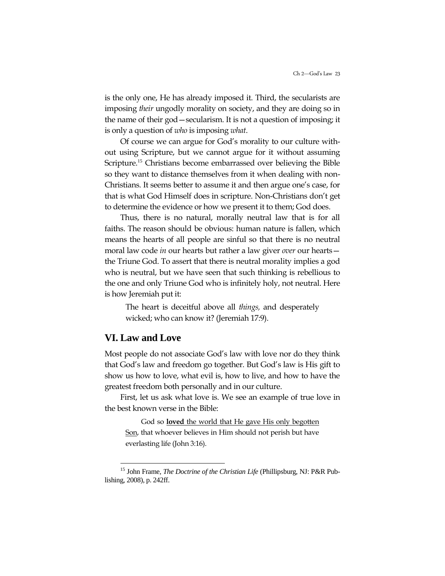is the only one, He has already imposed it. Third, the secularists are imposing *their* ungodly morality on society, and they are doing so in the name of their god—secularism. It is not a question of imposing; it is only a question of *who* is imposing *what*.

Of course we can argue for God"s morality to our culture without using Scripture, but we cannot argue for it without assuming Scripture.<sup>15</sup> Christians become embarrassed over believing the Bible so they want to distance themselves from it when dealing with non-Christians. It seems better to assume it and then argue one"s case, for that is what God Himself does in scripture. Non-Christians don"t get to determine the evidence or how we present it to them; God does.

Thus, there is no natural, morally neutral law that is for all faiths. The reason should be obvious: human nature is fallen, which means the hearts of all people are sinful so that there is no neutral moral law code *in* our hearts but rather a law giver *over* our hearts the Triune God. To assert that there is neutral morality implies a god who is neutral, but we have seen that such thinking is rebellious to the one and only Triune God who is infinitely holy, not neutral. Here is how Jeremiah put it:

The heart is deceitful above all *things,* and desperately wicked; who can know it? (Jeremiah 17:9).

## **VI. Law and Love**

 $\ddot{\phantom{a}}$ 

Most people do not associate God"s law with love nor do they think that God"s law and freedom go together. But God"s law is His gift to show us how to love, what evil is, how to live, and how to have the greatest freedom both personally and in our culture.

First, let us ask what love is. We see an example of true love in the best known verse in the Bible:

God so **loved** the world that He gave His only begotten Son, that whoever believes in Him should not perish but have everlasting life (John 3:16).

<sup>15</sup> John Frame, *The Doctrine of the Christian Life* (Phillipsburg, NJ: P&R Publishing, 2008), p. 242ff.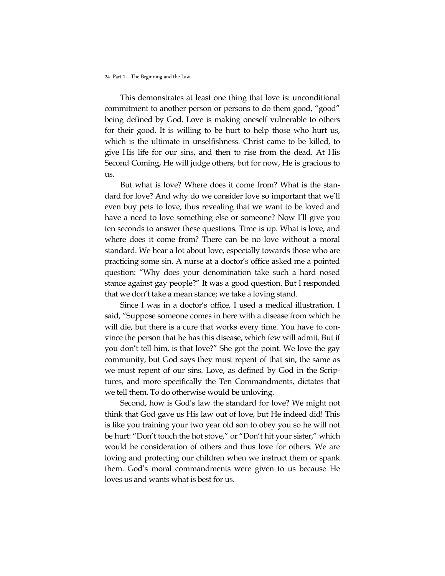This demonstrates at least one thing that love is: unconditional commitment to another person or persons to do them good, "good" being defined by God. Love is making oneself vulnerable to others for their good. It is willing to be hurt to help those who hurt us, which is the ultimate in unselfishness. Christ came to be killed, to give His life for our sins, and then to rise from the dead. At His Second Coming, He will judge others, but for now, He is gracious to us.

But what is love? Where does it come from? What is the standard for love? And why do we consider love so important that we"ll even buy pets to love, thus revealing that we want to be loved and have a need to love something else or someone? Now I"ll give you ten seconds to answer these questions. Time is up. What is love, and where does it come from? There can be no love without a moral standard. We hear a lot about love, especially towards those who are practicing some sin. A nurse at a doctor's office asked me a pointed question: "Why does your denomination take such a hard nosed stance against gay people?" It was a good question. But I responded that we don"t take a mean stance; we take a loving stand.

Since I was in a doctor's office, I used a medical illustration. I said, "Suppose someone comes in here with a disease from which he will die, but there is a cure that works every time. You have to convince the person that he has this disease, which few will admit. But if you don"t tell him, is that love?" She got the point. We love the gay community, but God says they must repent of that sin, the same as we must repent of our sins. Love, as defined by God in the Scriptures, and more specifically the Ten Commandments, dictates that we tell them. To do otherwise would be unloving.

Second, how is God's law the standard for love? We might not think that God gave us His law out of love, but He indeed did! This is like you training your two year old son to obey you so he will not be hurt: "Don"t touch the hot stove," or "Don"t hit your sister," which would be consideration of others and thus love for others. We are loving and protecting our children when we instruct them or spank them. God's moral commandments were given to us because He loves us and wants what is best for us.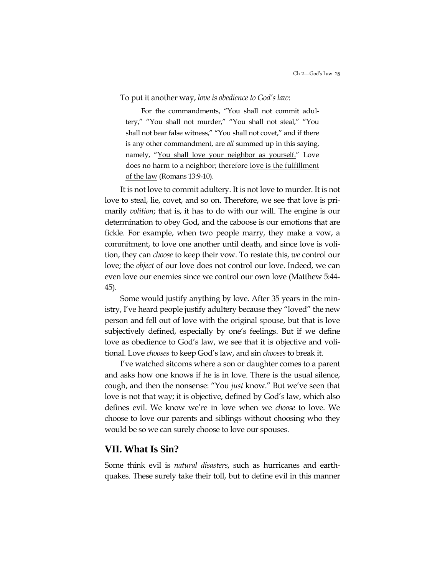#### To put it another way, *love is obedience to God's law*:

For the commandments, "You shall not commit adultery," "You shall not murder," "You shall not steal," "You shall not bear false witness," "You shall not covet," and if there is any other commandment, are *all* summed up in this saying, namely, "You shall love your neighbor as yourself." Love does no harm to a neighbor; therefore love is the fulfillment of the law (Romans 13:9-10).

It is not love to commit adultery. It is not love to murder. It is not love to steal, lie, covet, and so on. Therefore, we see that love is primarily *volition*; that is, it has to do with our will. The engine is our determination to obey God, and the caboose is our emotions that are fickle. For example, when two people marry, they make a vow, a commitment, to love one another until death, and since love is volition, they can *choose* to keep their vow. To restate this, *we* control our love; the *object* of our love does not control our love. Indeed, we can even love our enemies since we control our own love (Matthew 5:44- 45).

Some would justify anything by love. After 35 years in the ministry, I've heard people justify adultery because they "loved" the new person and fell out of love with the original spouse, but that is love subjectively defined, especially by one"s feelings. But if we define love as obedience to God"s law, we see that it is objective and volitional. Love *chooses* to keep God"s law, and sin *chooses* to break it.

I've watched sitcoms where a son or daughter comes to a parent and asks how one knows if he is in love. There is the usual silence, cough, and then the nonsense: "You *just* know." But we"ve seen that love is not that way; it is objective, defined by God's law, which also defines evil. We know we"re in love when we *choose* to love. We choose to love our parents and siblings without choosing who they would be so we can surely choose to love our spouses.

### **VII. What Is Sin?**

Some think evil is *natural disasters*, such as hurricanes and earthquakes. These surely take their toll, but to define evil in this manner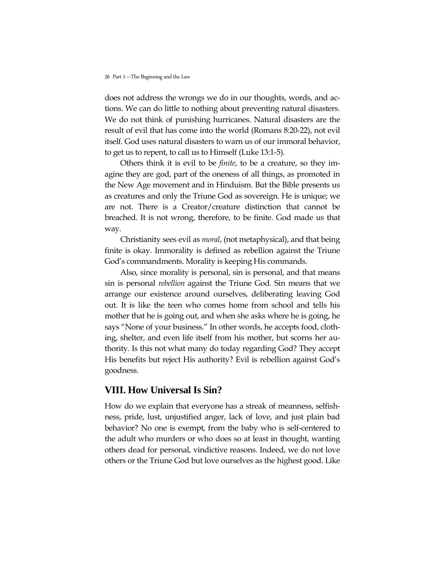does not address the wrongs we do in our thoughts, words, and actions. We can do little to nothing about preventing natural disasters. We do not think of punishing hurricanes. Natural disasters are the result of evil that has come into the world (Romans 8:20-22), not evil itself. God uses natural disasters to warn us of our immoral behavior, to get us to repent, to call us to Himself (Luke 13:1-5).

Others think it is evil to be *finite*, to be a creature, so they imagine they are god, part of the oneness of all things, as promoted in the New Age movement and in Hinduism. But the Bible presents us as creatures and only the Triune God as sovereign. He is unique; we are not. There is a Creator/creature distinction that cannot be breached. It is not wrong, therefore, to be finite. God made us that way.

Christianity sees evil as *moral*, (not metaphysical), and that being finite is okay. Immorality is defined as rebellion against the Triune God"s commandments. Morality is keeping His commands.

Also, since morality is personal, sin is personal, and that means sin is personal *rebellion* against the Triune God. Sin means that we arrange our existence around ourselves, deliberating leaving God out. It is like the teen who comes home from school and tells his mother that he is going out, and when she asks where he is going, he says "None of your business." In other words, he accepts food, clothing, shelter, and even life itself from his mother, but scorns her authority. Is this not what many do today regarding God? They accept His benefits but reject His authority? Evil is rebellion against God"s goodness.

## **VIII. How Universal Is Sin?**

How do we explain that everyone has a streak of meanness, selfishness, pride, lust, unjustified anger, lack of love, and just plain bad behavior? No one is exempt, from the baby who is self-centered to the adult who murders or who does so at least in thought, wanting others dead for personal, vindictive reasons. Indeed, we do not love others or the Triune God but love ourselves as the highest good. Like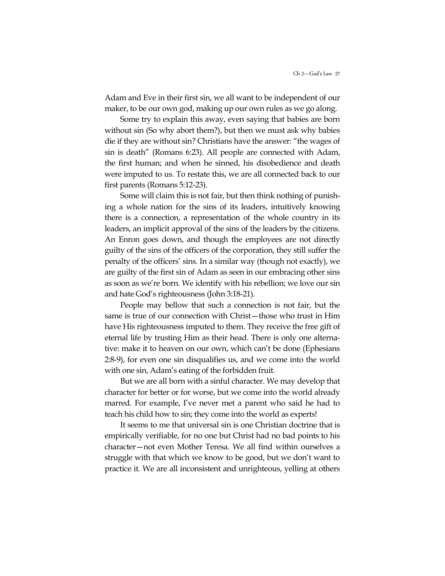Adam and Eve in their first sin, we all want to be independent of our maker, to be our own god, making up our own rules as we go along.

Some try to explain this away, even saying that babies are born without sin (So why abort them?), but then we must ask why babies die if they are without sin? Christians have the answer: "the wages of sin is death" (Romans 6:23). All people are connected with Adam, the first human; and when he sinned, his disobedience and death were imputed to us. To restate this, we are all connected back to our first parents (Romans 5:12-23).

Some will claim this is not fair, but then think nothing of punishing a whole nation for the sins of its leaders, intuitively knowing there is a connection, a representation of the whole country in its leaders, an implicit approval of the sins of the leaders by the citizens. An Enron goes down, and though the employees are not directly guilty of the sins of the officers of the corporation, they still suffer the penalty of the officers' sins. In a similar way (though not exactly), we are guilty of the first sin of Adam as seen in our embracing other sins as soon as we"re born. We identify with his rebellion; we love our sin and hate God"s righteousness (John 3:18-21).

People may bellow that such a connection is not fair, but the same is true of our connection with Christ—those who trust in Him have His righteousness imputed to them. They receive the free gift of eternal life by trusting Him as their head. There is only one alternative: make it to heaven on our own, which can"t be done (Ephesians 2:8-9), for even one sin disqualifies us, and we come into the world with one sin, Adam"s eating of the forbidden fruit.

But we are all born with a sinful character. We may develop that character for better or for worse, but we come into the world already marred. For example, I've never met a parent who said he had to teach his child how to sin; they come into the world as experts!

It seems to me that universal sin is one Christian doctrine that is empirically verifiable, for no one but Christ had no bad points to his character—not even Mother Teresa. We all find within ourselves a struggle with that which we know to be good, but we don"t want to practice it. We are all inconsistent and unrighteous, yelling at others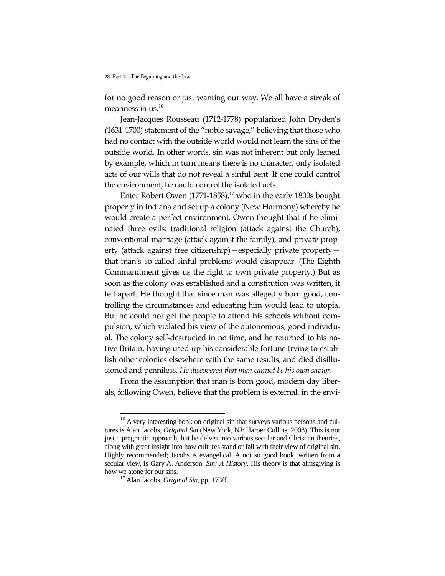for no good reason or just wanting our way. We all have a streak of meanness in us.<sup>16</sup>

Jean-Jacques Rousseau (1712-1778) popularized John Dryden"s (1631-1700) statement of the "noble savage," believing that those who had no contact with the outside world would not learn the sins of the outside world. In other words, sin was not inherent but only leaned by example, which in turn means there is no character, only isolated acts of our wills that do not reveal a sinful bent. If one could control the environment, he could control the isolated acts.

Enter Robert Owen  $(1771-1858)$ ,<sup>17</sup> who in the early 1800s bought property in Indiana and set up a colony (New Harmony) whereby he would create a perfect environment. Owen thought that if he eliminated three evils: traditional religion (attack against the Church), conventional marriage (attack against the family), and private property (attack against free citizenship)—especially private property that man"s so-called sinful problems would disappear. (The Eighth Commandment gives us the right to own private property.) But as soon as the colony was established and a constitution was written, it fell apart. He thought that since man was allegedly born good, controlling the circumstances and educating him would lead to utopia. But he could not get the people to attend his schools without compulsion, which violated his view of the autonomous, good individual. The colony self-destructed in no time, and he returned to his native Britain, having used up his considerable fortune trying to establish other colonies elsewhere with the same results, and died disillusioned and penniless. *He discovered that man cannot be his own savior*.

From the assumption that man is born good, modern day liberals, following Owen, believe that the problem is external, in the envi-

 $\overline{a}$ 

 $16$  A very interesting book on original sin that surveys various persons and cultures is Alan Jacobs, *Original Sin* (New York, NJ: Harper Collins, 2008). This is not just a pragmatic approach, but he delves into various secular and Christian theories, along with great insight into how cultures stand or fall with their view of original sin. Highly recommended; Jacobs is evangelical. A not so good book, written from a secular view, is Gary A. Anderson, *Sin: A History*. His theory is that almsgiving is how we atone for our sins.

<sup>17</sup> Alan Jacobs, *Original Sin*, pp. 173ff.